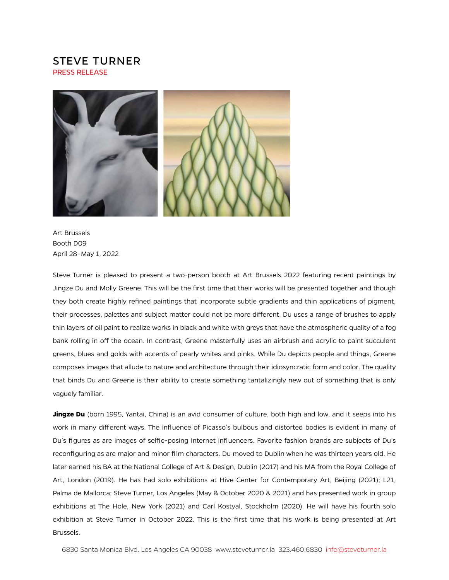## STEVE TURNER PRESS RELEASE



Art Brussels Booth D09 April 28–May 1, 2022

Steve Turner is pleased to present a two-person booth at Art Brussels 2022 featuring recent paintings by Jingze Du and Molly Greene. This will be the first time that their works will be presented together and though they both create highly refined paintings that incorporate subtle gradients and thin applications of pigment, their processes, palettes and subject matter could not be more diferent. Du uses a range of brushes to apply thin layers of oil paint to realize works in black and white with greys that have the atmospheric quality of a fog bank rolling in off the ocean. In contrast, Greene masterfully uses an airbrush and acrylic to paint succulent greens, blues and golds with accents of pearly whites and pinks. While Du depicts people and things, Greene composes images that allude to nature and architecture through their idiosyncratic form and color. The quality that binds Du and Greene is their ability to create something tantalizingly new out of something that is only vaguely familiar.

**Jingze Du** (born 1995, Yantai, China) is an avid consumer of culture, both high and low, and it seeps into his work in many diferent ways. The influence of Picasso's bulbous and distorted bodies is evident in many of Du's figures as are images of selfie-posing Internet influencers. Favorite fashion brands are subjects of Du's reconfiguring as are major and minor film characters. Du moved to Dublin when he was thirteen years old. He later earned his BA at the National College of Art & Design, Dublin (2017) and his MA from the Royal College of Art, London (2019). He has had solo exhibitions at Hive Center for Contemporary Art, Beijing (2021); L21, Palma de Mallorca; Steve Turner, Los Angeles (May & October 2020 & 2021) and has presented work in group exhibitions at The Hole, New York (2021) and Carl Kostyal, Stockholm (2020). He will have his fourth solo exhibition at Steve Turner in October 2022. This is the first time that his work is being presented at Art Brussels.